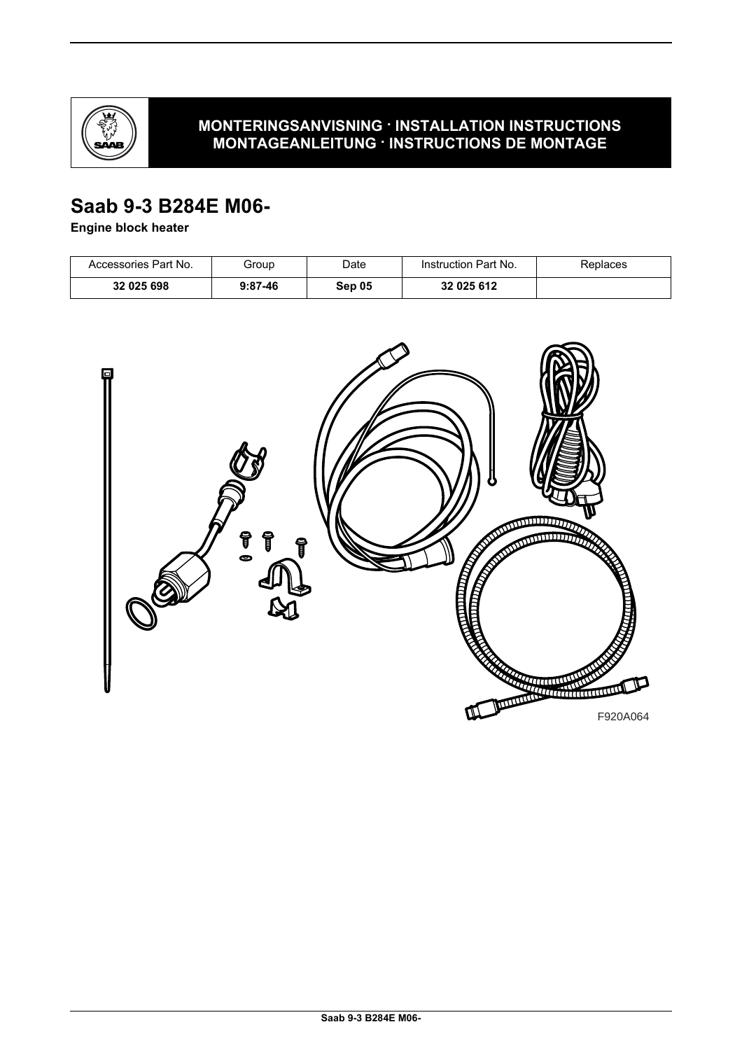

# **MONTERINGSANVISNING · INSTALLATION INSTRUCTIONS MONTAGEANLEITUNG · INSTRUCTIONS DE MONTAGE**

# **Saab 9-3 B284E M06-**

## **Engine block heater**

| Accessories Part No. | Group     | Date   | Instruction Part No. | Replaces |
|----------------------|-----------|--------|----------------------|----------|
| 32 025 698           | $9:87-46$ | Sep 05 | 32 025 612           |          |

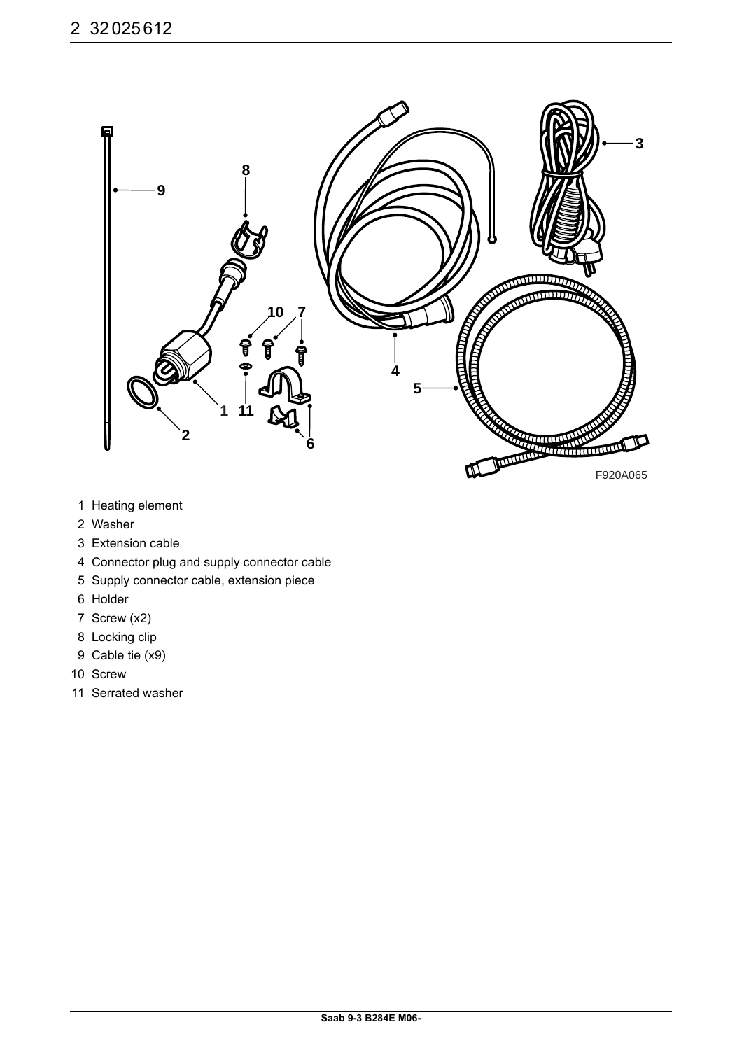

- 1 Heating element
- 2 Washer
- 3 Extension cable
- 4 Connector plug and supply connector cable
- 5 Supply connector cable, extension piece
- 6 Holder
- 7 Screw (x2)
- 8 Locking clip
- 9 Cable tie (x9)
- 10 Screw
- 11 Serrated washer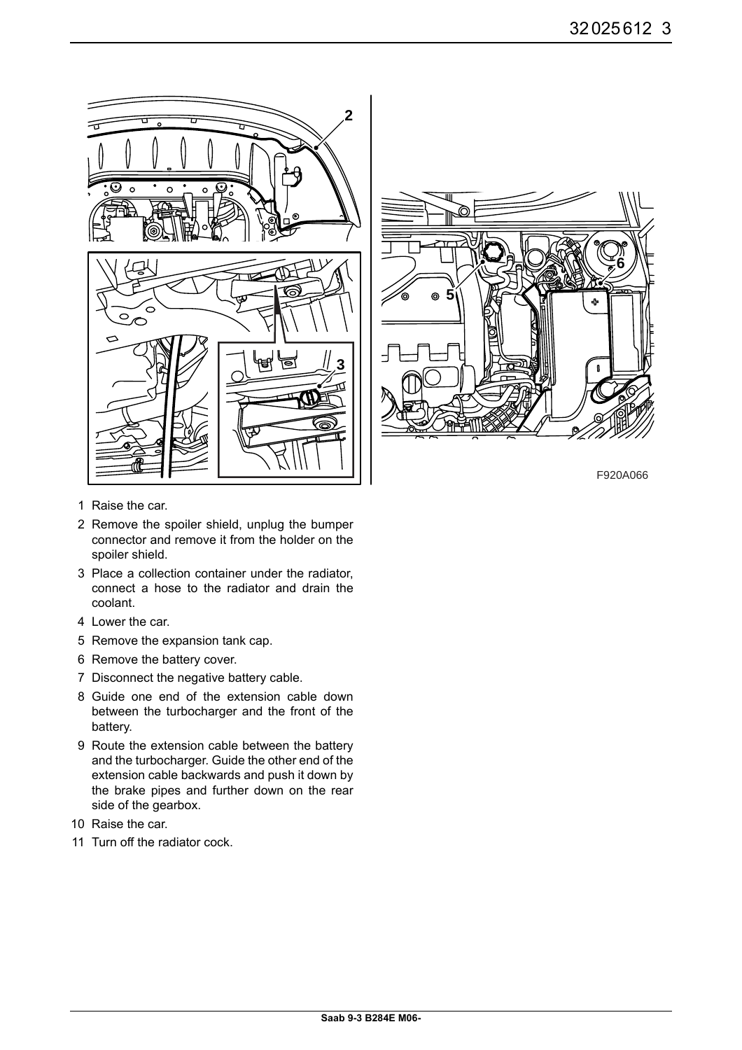



F920A066

- 1 Raise the car.
- 2 Remove the spoiler shield, unplug the bumper connector and remove it from the holder on the spoiler shield.
- 3 Place a collection container under the radiator, connect a hose to the radiator and drain the coolant.
- 4 Lower the car.
- 5 Remove the expansion tank cap.
- 6 Remove the battery cover.
- 7 Disconnect the negative battery cable.
- 8 Guide one end of the extension cable down between the turbocharger and the front of the battery.
- 9 Route the extension cable between the battery and the turbocharger. Guide the other end of the extension cable backwards and push it down by the brake pipes and further down on the rear side of the gearbox.
- 10 Raise the car.
- 11 Turn off the radiator cock.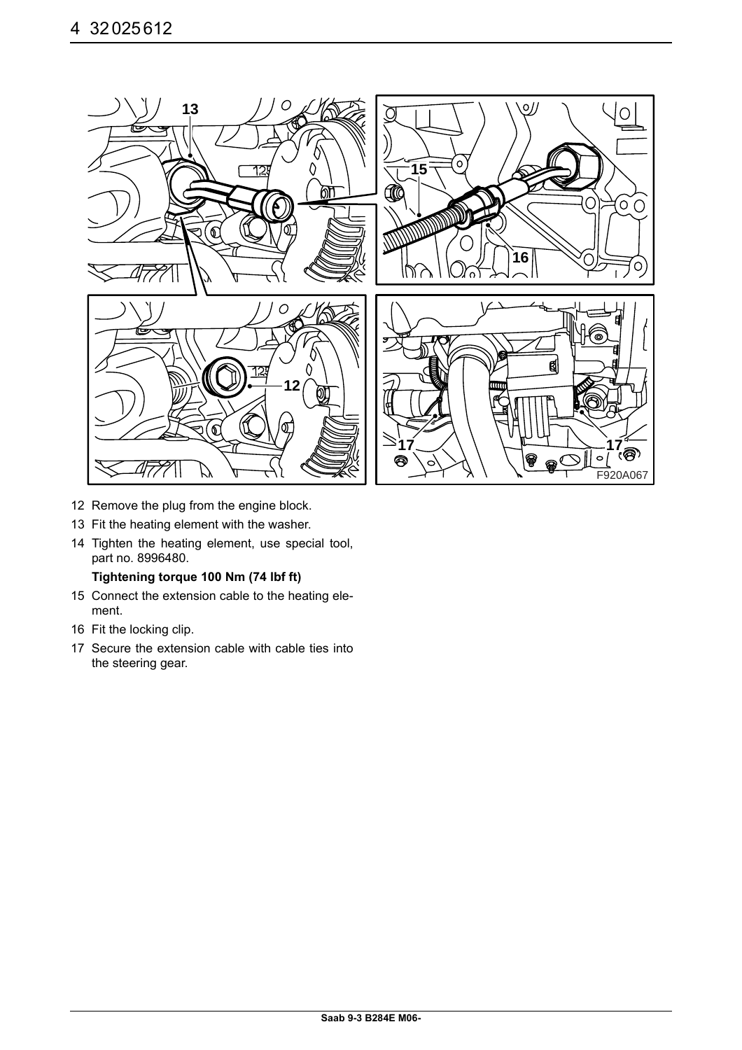

- 12 Remove the plug from the engine block.
- 13 Fit the heating element with the washer.
- 14 Tighten the heating element, use special tool, part no. 8996480.

#### **Tightening torque 100 Nm (74 lbf ft)**

- 15 Connect the extension cable to the heating element.
- 16 Fit the locking clip.
- 17 Secure the extension cable with cable ties into the steering gear.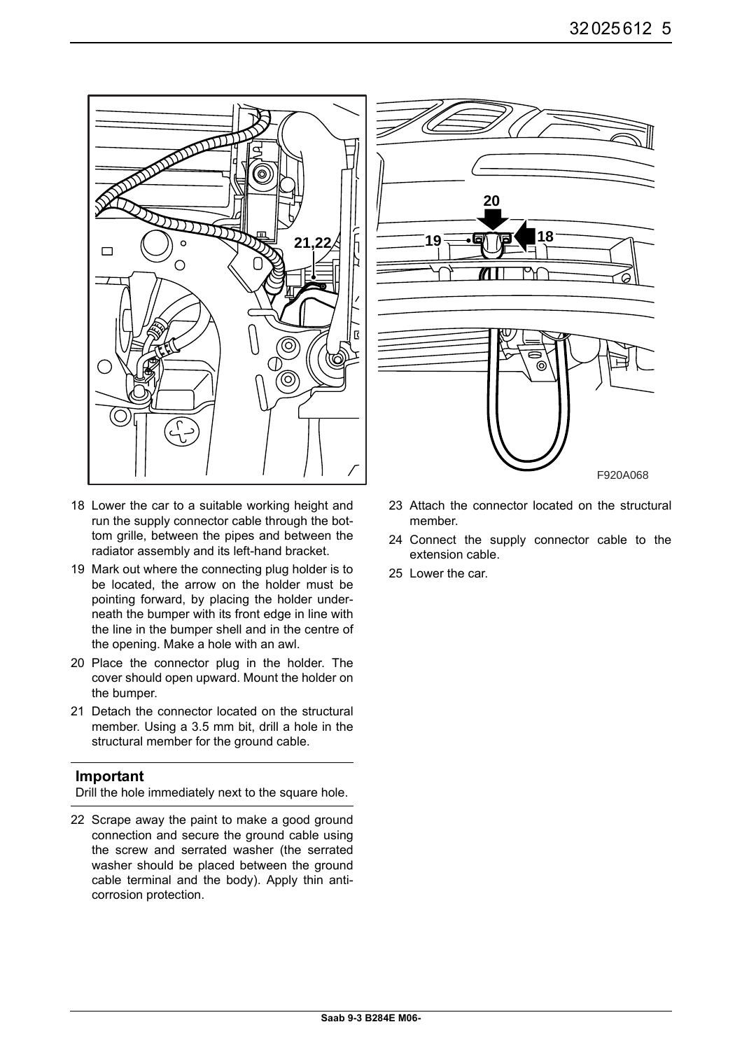

- 18 Lower the car to a suitable working height and run the supply connector cable through the bottom grille, between the pipes and between the radiator assembly and its left-hand bracket.
- 19 Mark out where the connecting plug holder is to be located, the arrow on the holder must be pointing forward, by placing the holder underneath the bumper with its front edge in line with the line in the bumper shell and in the centre of the opening. Make a hole with an awl.
- 20 Place the connector plug in the holder. The cover should open upward. Mount the holder on the bumper.
- 21 Detach the connector located on the structural member. Using a 3.5 mm bit, drill a hole in the structural member for the ground cable.

### **Important**

Drill the hole immediately next to the square hole.

22 Scrape away the paint to make a good ground connection and secure the ground cable using the screw and serrated washer (the serrated washer should be placed between the ground cable terminal and the body). Apply thin anticorrosion protection.



- 23 Attach the connector located on the structural member.
- 24 Connect the supply connector cable to the extension cable.
- 25 Lower the car.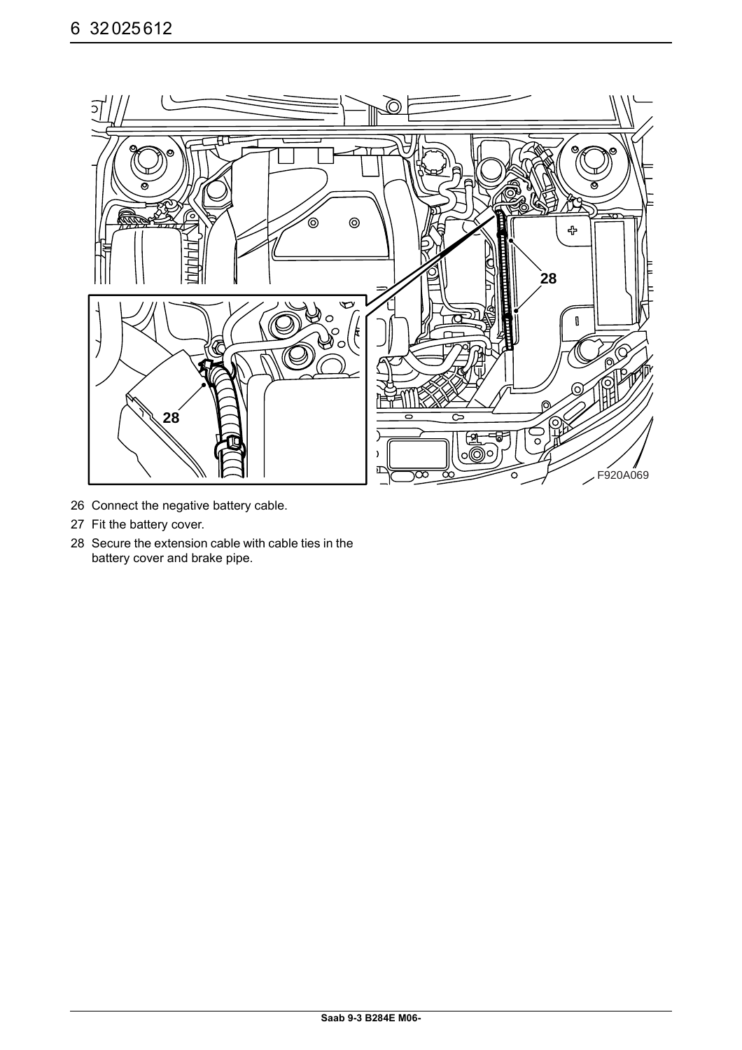

- 26 Connect the negative battery cable.
- 27 Fit the battery cover.
- 28 Secure the extension cable with cable ties in the battery cover and brake pipe.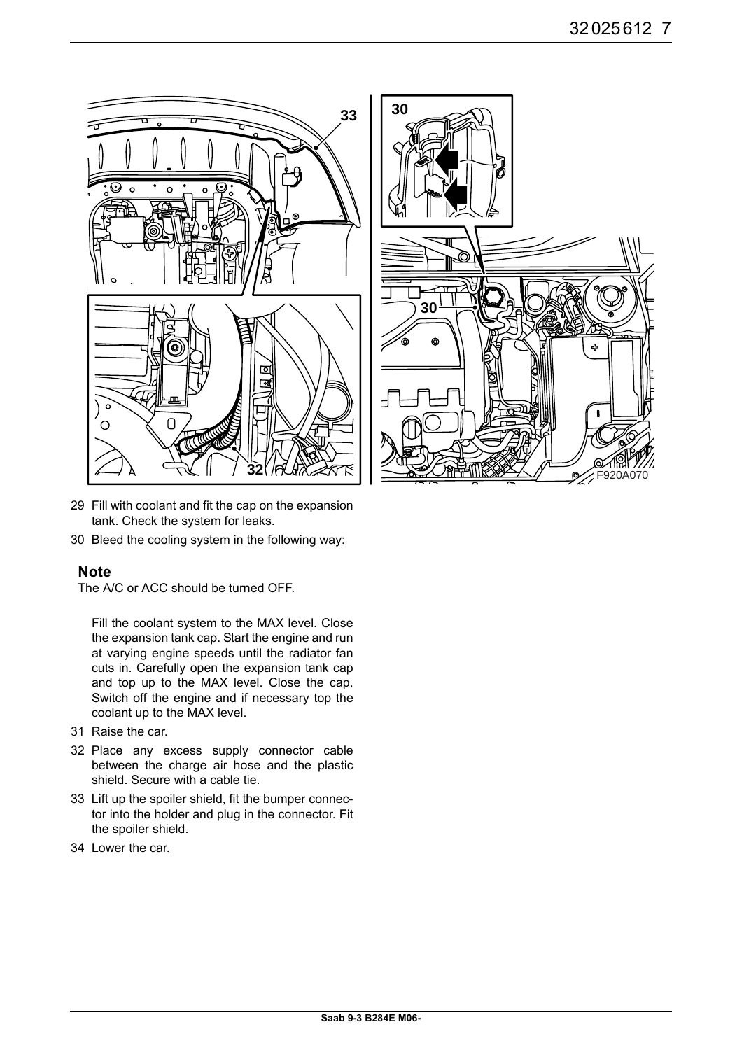



- 29 Fill with coolant and fit the cap on the expansion tank. Check the system for leaks.
- 30 Bleed the cooling system in the following way:

### **Note**

The A/C or ACC should be turned OFF.

Fill the coolant system to the MAX level. Close the expansion tank cap. Start the engine and run at varying engine speeds until the radiator fan cuts in. Carefully open the expansion tank cap and top up to the MAX level. Close the cap. Switch off the engine and if necessary top the coolant up to the MAX level.

- 31 Raise the car.
- 32 Place any excess supply connector cable between the charge air hose and the plastic shield. Secure with a cable tie.
- 33 Lift up the spoiler shield, fit the bumper connector into the holder and plug in the connector. Fit the spoiler shield.
- 34 Lower the car.